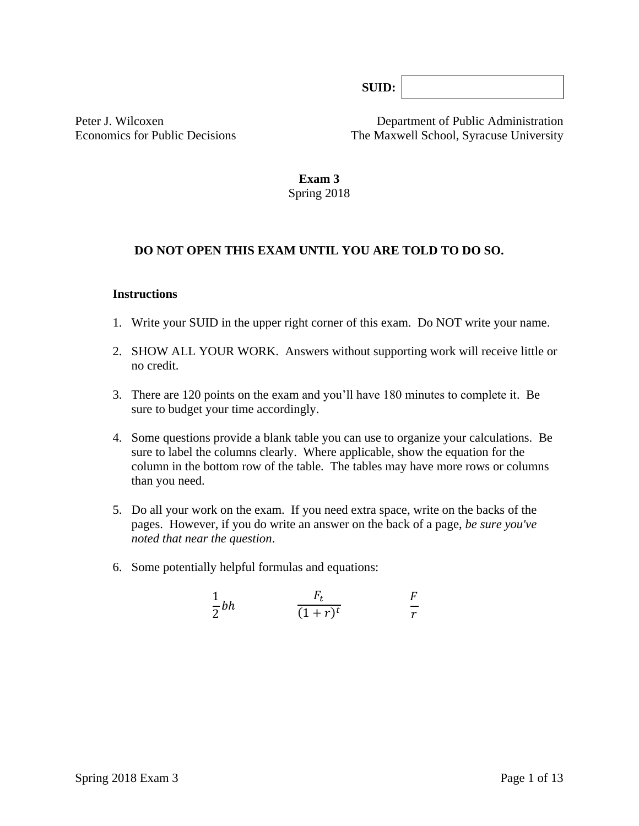**SUID:**

Peter J. Wilcoxen Department of Public Administration Economics for Public Decisions The Maxwell School, Syracuse University

> **Exam 3** Spring 2018

### **DO NOT OPEN THIS EXAM UNTIL YOU ARE TOLD TO DO SO.**

#### **Instructions**

- 1. Write your SUID in the upper right corner of this exam. Do NOT write your name.
- 2. SHOW ALL YOUR WORK. Answers without supporting work will receive little or no credit.
- 3. There are 120 points on the exam and you'll have 180 minutes to complete it. Be sure to budget your time accordingly.
- 4. Some questions provide a blank table you can use to organize your calculations. Be sure to label the columns clearly. Where applicable, show the equation for the column in the bottom row of the table*.* The tables may have more rows or columns than you need.
- 5. Do all your work on the exam. If you need extra space, write on the backs of the pages. However, if you do write an answer on the back of a page, *be sure you've noted that near the question*.
- 6. Some potentially helpful formulas and equations:

$$
\frac{1}{2}bh \qquad \qquad \frac{F_t}{(1+r)^t} \qquad \qquad \frac{F}{r}
$$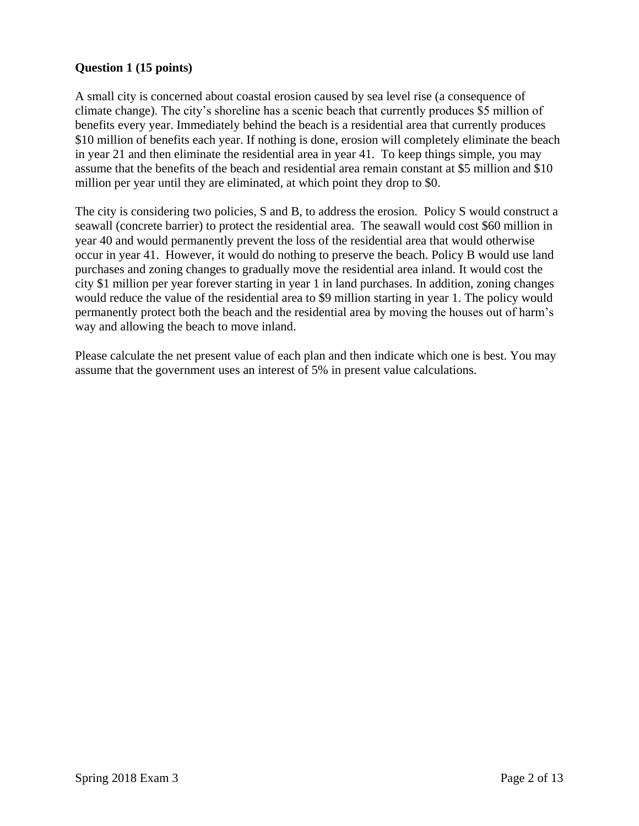## **Question 1 (15 points)**

A small city is concerned about coastal erosion caused by sea level rise (a consequence of climate change). The city's shoreline has a scenic beach that currently produces \$5 million of benefits every year. Immediately behind the beach is a residential area that currently produces \$10 million of benefits each year. If nothing is done, erosion will completely eliminate the beach in year 21 and then eliminate the residential area in year 41. To keep things simple, you may assume that the benefits of the beach and residential area remain constant at \$5 million and \$10 million per year until they are eliminated, at which point they drop to \$0.

The city is considering two policies, S and B, to address the erosion. Policy S would construct a seawall (concrete barrier) to protect the residential area. The seawall would cost \$60 million in year 40 and would permanently prevent the loss of the residential area that would otherwise occur in year 41. However, it would do nothing to preserve the beach. Policy B would use land purchases and zoning changes to gradually move the residential area inland. It would cost the city \$1 million per year forever starting in year 1 in land purchases. In addition, zoning changes would reduce the value of the residential area to \$9 million starting in year 1. The policy would permanently protect both the beach and the residential area by moving the houses out of harm's way and allowing the beach to move inland.

Please calculate the net present value of each plan and then indicate which one is best. You may assume that the government uses an interest of 5% in present value calculations.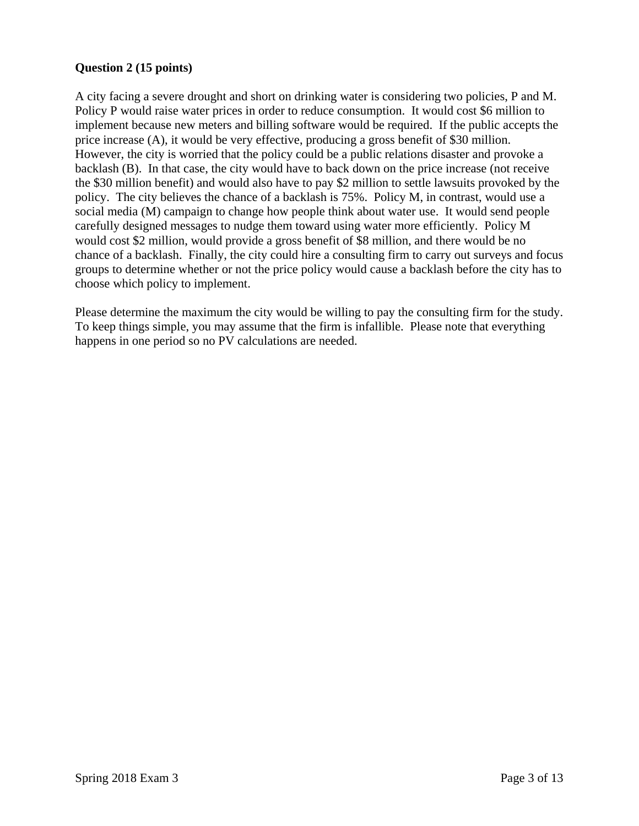## **Question 2 (15 points)**

A city facing a severe drought and short on drinking water is considering two policies, P and M. Policy P would raise water prices in order to reduce consumption. It would cost \$6 million to implement because new meters and billing software would be required. If the public accepts the price increase (A), it would be very effective, producing a gross benefit of \$30 million. However, the city is worried that the policy could be a public relations disaster and provoke a backlash (B). In that case, the city would have to back down on the price increase (not receive the \$30 million benefit) and would also have to pay \$2 million to settle lawsuits provoked by the policy. The city believes the chance of a backlash is 75%. Policy M, in contrast, would use a social media (M) campaign to change how people think about water use. It would send people carefully designed messages to nudge them toward using water more efficiently. Policy M would cost \$2 million, would provide a gross benefit of \$8 million, and there would be no chance of a backlash. Finally, the city could hire a consulting firm to carry out surveys and focus groups to determine whether or not the price policy would cause a backlash before the city has to choose which policy to implement.

Please determine the maximum the city would be willing to pay the consulting firm for the study. To keep things simple, you may assume that the firm is infallible. Please note that everything happens in one period so no PV calculations are needed.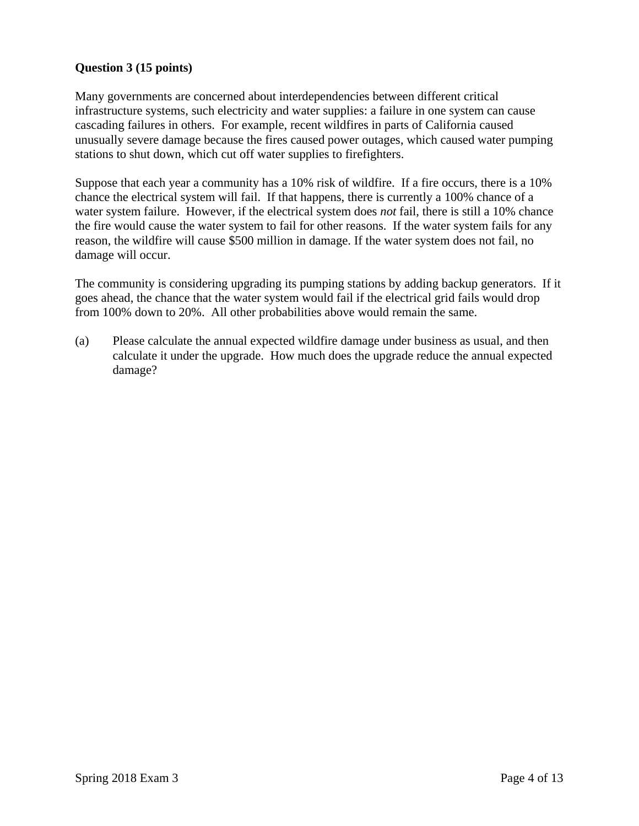## **Question 3 (15 points)**

Many governments are concerned about interdependencies between different critical infrastructure systems, such electricity and water supplies: a failure in one system can cause cascading failures in others. For example, recent wildfires in parts of California caused unusually severe damage because the fires caused power outages, which caused water pumping stations to shut down, which cut off water supplies to firefighters.

Suppose that each year a community has a 10% risk of wildfire. If a fire occurs, there is a 10% chance the electrical system will fail. If that happens, there is currently a 100% chance of a water system failure. However, if the electrical system does *not* fail, there is still a 10% chance the fire would cause the water system to fail for other reasons. If the water system fails for any reason, the wildfire will cause \$500 million in damage. If the water system does not fail, no damage will occur.

The community is considering upgrading its pumping stations by adding backup generators. If it goes ahead, the chance that the water system would fail if the electrical grid fails would drop from 100% down to 20%. All other probabilities above would remain the same.

(a) Please calculate the annual expected wildfire damage under business as usual, and then calculate it under the upgrade. How much does the upgrade reduce the annual expected damage?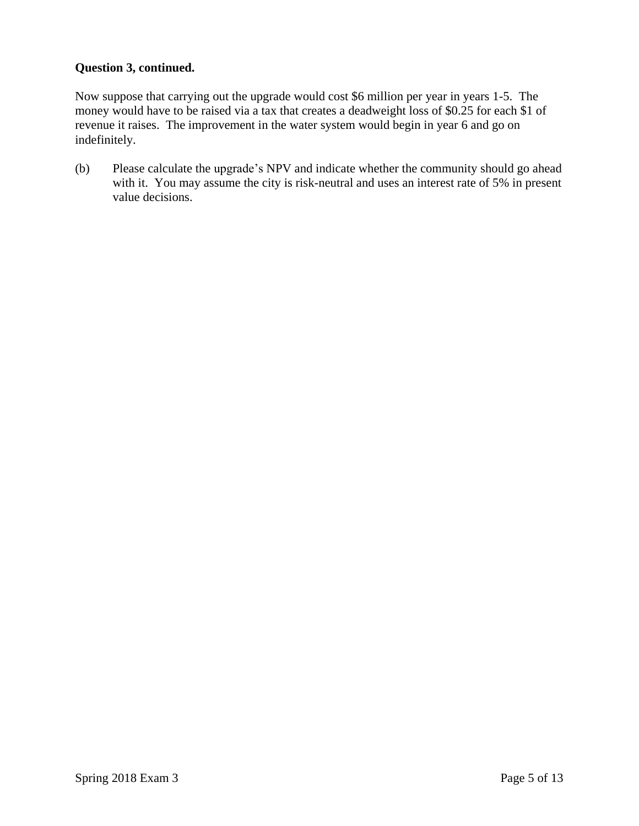## **Question 3, continued.**

Now suppose that carrying out the upgrade would cost \$6 million per year in years 1-5. The money would have to be raised via a tax that creates a deadweight loss of \$0.25 for each \$1 of revenue it raises. The improvement in the water system would begin in year 6 and go on indefinitely.

(b) Please calculate the upgrade's NPV and indicate whether the community should go ahead with it. You may assume the city is risk-neutral and uses an interest rate of 5% in present value decisions.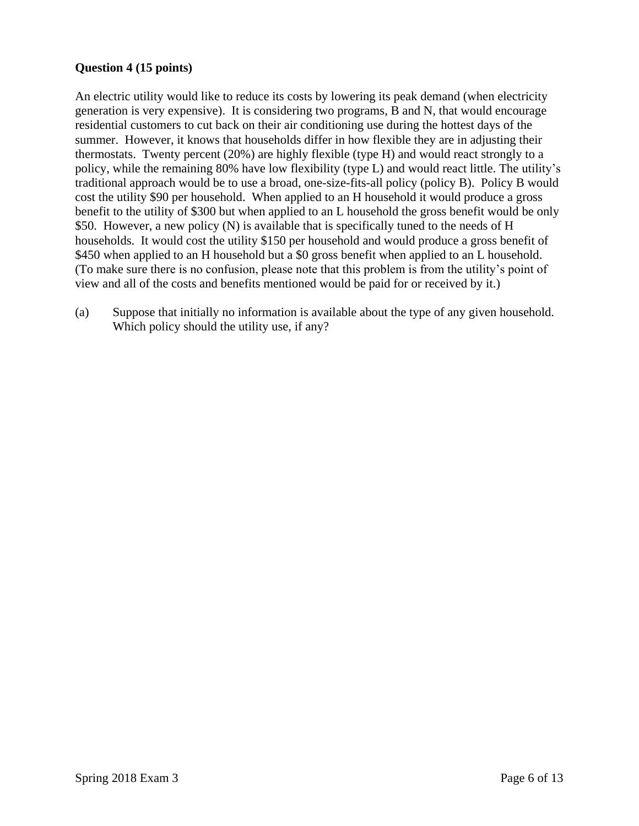## **Question 4 (15 points)**

An electric utility would like to reduce its costs by lowering its peak demand (when electricity generation is very expensive). It is considering two programs, B and N, that would encourage residential customers to cut back on their air conditioning use during the hottest days of the summer. However, it knows that households differ in how flexible they are in adjusting their thermostats. Twenty percent (20%) are highly flexible (type H) and would react strongly to a policy, while the remaining 80% have low flexibility (type L) and would react little. The utility's traditional approach would be to use a broad, one-size-fits-all policy (policy B). Policy B would cost the utility \$90 per household. When applied to an H household it would produce a gross benefit to the utility of \$300 but when applied to an L household the gross benefit would be only \$50. However, a new policy (N) is available that is specifically tuned to the needs of H households. It would cost the utility \$150 per household and would produce a gross benefit of \$450 when applied to an H household but a \$0 gross benefit when applied to an L household. (To make sure there is no confusion, please note that this problem is from the utility's point of view and all of the costs and benefits mentioned would be paid for or received by it.)

(a) Suppose that initially no information is available about the type of any given household. Which policy should the utility use, if any?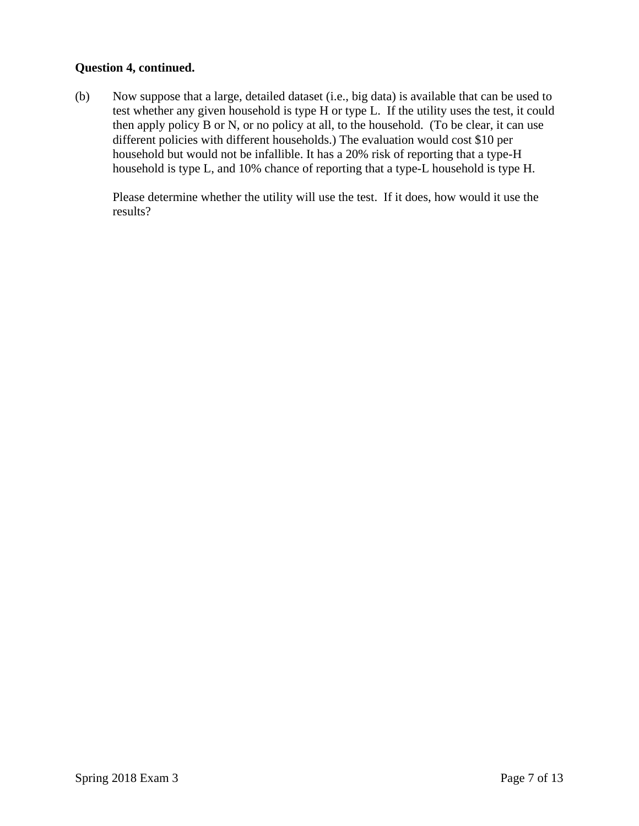### **Question 4, continued.**

(b) Now suppose that a large, detailed dataset (i.e., big data) is available that can be used to test whether any given household is type H or type L. If the utility uses the test, it could then apply policy B or N, or no policy at all, to the household. (To be clear, it can use different policies with different households.) The evaluation would cost \$10 per household but would not be infallible. It has a 20% risk of reporting that a type-H household is type L, and 10% chance of reporting that a type-L household is type H.

Please determine whether the utility will use the test. If it does, how would it use the results?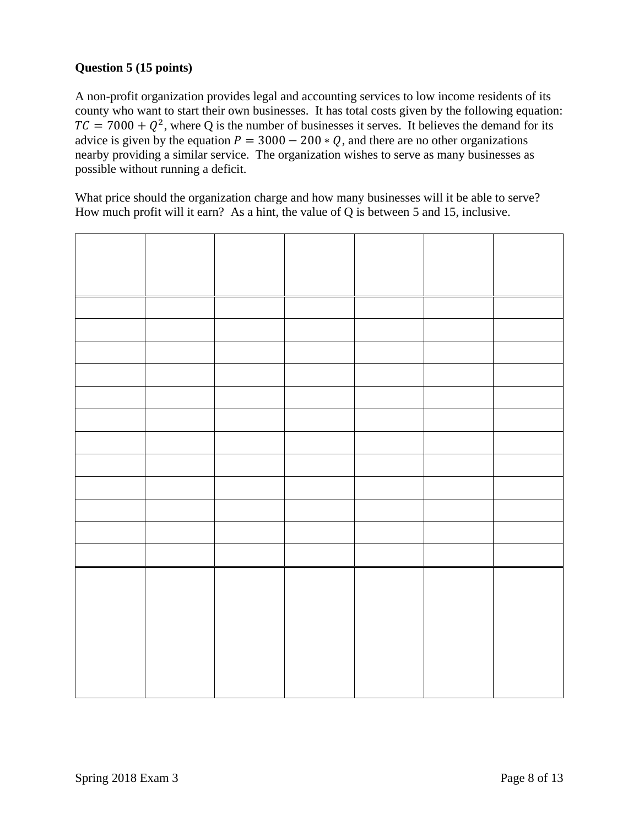# **Question 5 (15 points)**

A non-profit organization provides legal and accounting services to low income residents of its county who want to start their own businesses. It has total costs given by the following equation:  $TC = 7000 + Q^2$ , where Q is the number of businesses it serves. It believes the demand for its advice is given by the equation  $P = 3000 - 200 * Q$ , and there are no other organizations nearby providing a similar service. The organization wishes to serve as many businesses as possible without running a deficit.

What price should the organization charge and how many businesses will it be able to serve? How much profit will it earn? As a hint, the value of Q is between 5 and 15, inclusive.

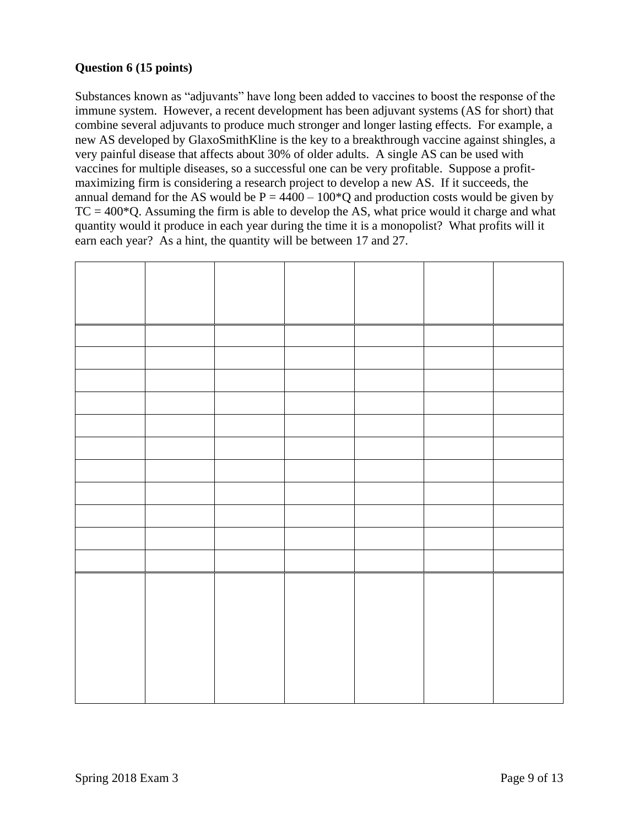## **Question 6 (15 points)**

Substances known as "adjuvants" have long been added to vaccines to boost the response of the immune system. However, a recent development has been adjuvant systems (AS for short) that combine several adjuvants to produce much stronger and longer lasting effects. For example, a new AS developed by GlaxoSmithKline is the key to a breakthrough vaccine against shingles, a very painful disease that affects about 30% of older adults. A single AS can be used with vaccines for multiple diseases, so a successful one can be very profitable. Suppose a profitmaximizing firm is considering a research project to develop a new AS. If it succeeds, the annual demand for the AS would be  $P = 4400 - 100^{\circ}Q$  and production costs would be given by  $TC = 400*Q$ . Assuming the firm is able to develop the AS, what price would it charge and what quantity would it produce in each year during the time it is a monopolist? What profits will it earn each year? As a hint, the quantity will be between 17 and 27.

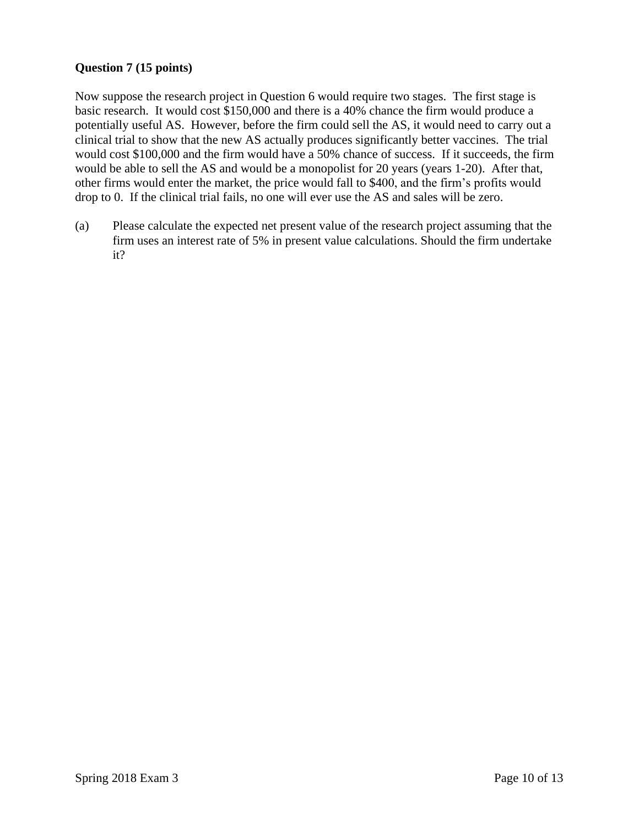## **Question 7 (15 points)**

Now suppose the research project in Question 6 would require two stages. The first stage is basic research. It would cost \$150,000 and there is a 40% chance the firm would produce a potentially useful AS. However, before the firm could sell the AS, it would need to carry out a clinical trial to show that the new AS actually produces significantly better vaccines. The trial would cost \$100,000 and the firm would have a 50% chance of success. If it succeeds, the firm would be able to sell the AS and would be a monopolist for 20 years (years 1-20). After that, other firms would enter the market, the price would fall to \$400, and the firm's profits would drop to 0. If the clinical trial fails, no one will ever use the AS and sales will be zero.

(a) Please calculate the expected net present value of the research project assuming that the firm uses an interest rate of 5% in present value calculations. Should the firm undertake it?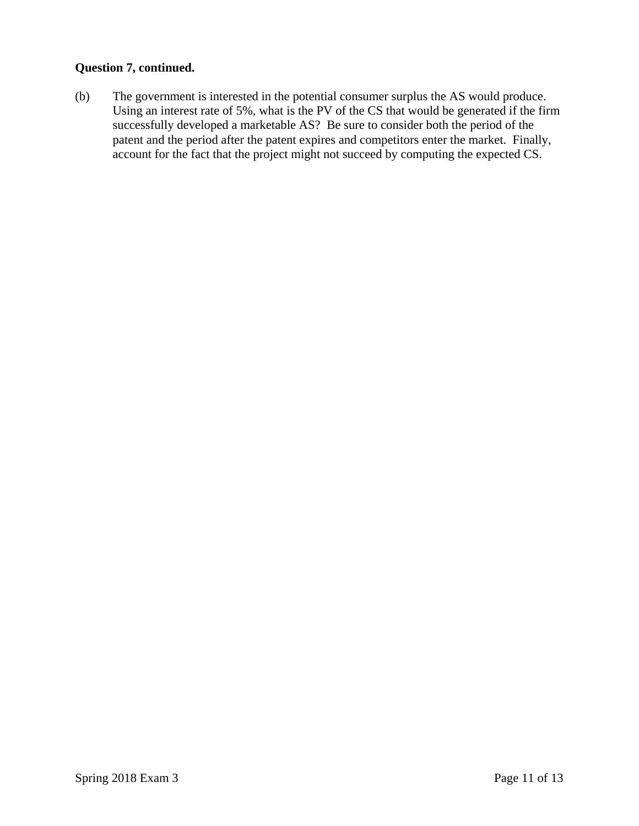## **Question 7, continued.**

(b) The government is interested in the potential consumer surplus the AS would produce. Using an interest rate of 5%, what is the PV of the CS that would be generated if the firm successfully developed a marketable AS? Be sure to consider both the period of the patent and the period after the patent expires and competitors enter the market. Finally, account for the fact that the project might not succeed by computing the expected CS.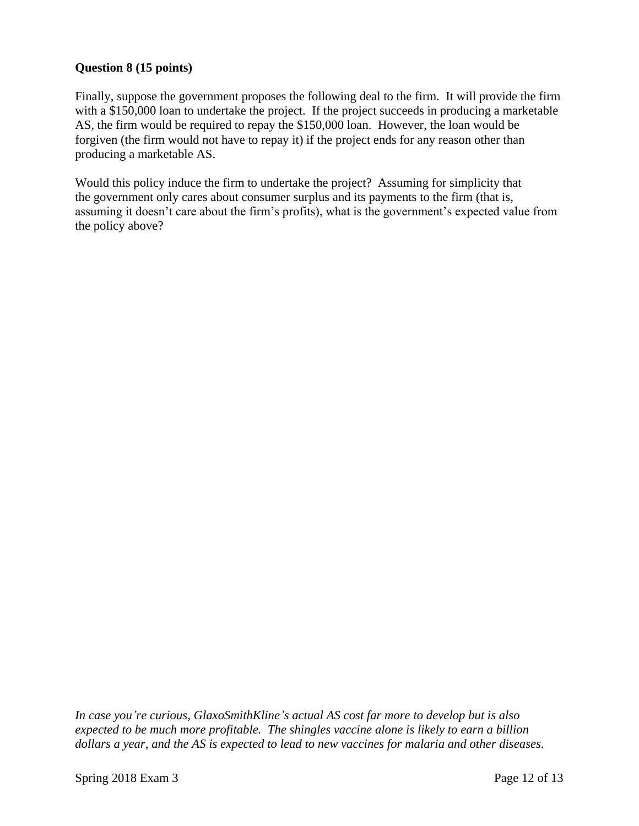## **Question 8 (15 points)**

Finally, suppose the government proposes the following deal to the firm. It will provide the firm with a \$150,000 loan to undertake the project. If the project succeeds in producing a marketable AS, the firm would be required to repay the \$150,000 loan. However, the loan would be forgiven (the firm would not have to repay it) if the project ends for any reason other than producing a marketable AS.

Would this policy induce the firm to undertake the project? Assuming for simplicity that the government only cares about consumer surplus and its payments to the firm (that is, assuming it doesn't care about the firm's profits), what is the government's expected value from the policy above?

*In case you're curious, GlaxoSmithKline's actual AS cost far more to develop but is also expected to be much more profitable. The shingles vaccine alone is likely to earn a billion dollars a year, and the AS is expected to lead to new vaccines for malaria and other diseases.*